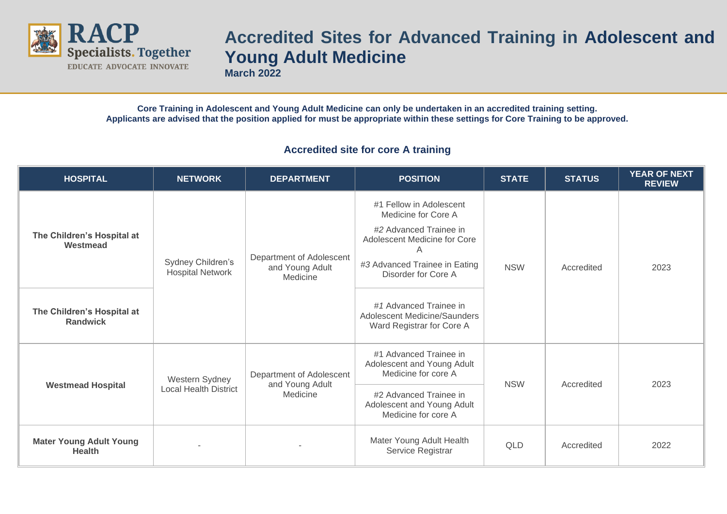

## **Accredited Sites for Advanced Training in Adolescent and Young Adult Medicine**

**March 2022**

**Core Training in Adolescent and Young Adult Medicine can only be undertaken in an accredited training setting. Applicants are advised that the position applied for must be appropriate within these settings for Core Training to be approved.**

## **Accredited site for core A training**

| <b>HOSPITAL</b>                                 | <b>NETWORK</b>                                                                                            | <b>DEPARTMENT</b>                                                           | <b>POSITION</b>                                                                                                                                                       | <b>STATE</b> | <b>STATUS</b> | YEAR OF NEXT<br><b>REVIEW</b> |
|-------------------------------------------------|-----------------------------------------------------------------------------------------------------------|-----------------------------------------------------------------------------|-----------------------------------------------------------------------------------------------------------------------------------------------------------------------|--------------|---------------|-------------------------------|
| The Children's Hospital at<br>Westmead          | Sydney Children's<br><b>Hospital Network</b>                                                              | Department of Adolescent<br>and Young Adult<br>Medicine                     | #1 Fellow in Adolescent<br>Medicine for Core A<br>#2 Advanced Trainee in<br>Adolescent Medicine for Core<br>A<br>#3 Advanced Trainee in Eating<br>Disorder for Core A | <b>NSW</b>   | Accredited    | 2023                          |
| The Children's Hospital at<br><b>Randwick</b>   |                                                                                                           |                                                                             | #1 Advanced Trainee in<br>Adolescent Medicine/Saunders<br>Ward Registrar for Core A                                                                                   |              |               |                               |
| <b>Westmead Hospital</b>                        | Department of Adolescent<br>Western Sydney<br>and Young Adult<br><b>Local Health District</b><br>Medicine |                                                                             | #1 Advanced Trainee in<br>Adolescent and Young Adult<br>Medicine for core A                                                                                           | <b>NSW</b>   | Accredited    | 2023                          |
|                                                 |                                                                                                           | #2 Advanced Trainee in<br>Adolescent and Young Adult<br>Medicine for core A |                                                                                                                                                                       |              |               |                               |
| <b>Mater Young Adult Young</b><br><b>Health</b> |                                                                                                           |                                                                             | Mater Young Adult Health<br>Service Registrar                                                                                                                         | QLD          | Accredited    | 2022                          |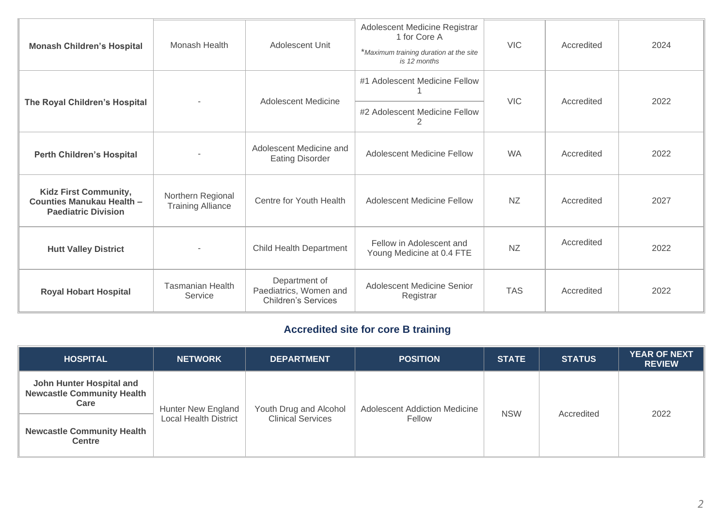| <b>Monash Children's Hospital</b>                                                       | Monash Health                                 | Adolescent Unit                                                       | Adolescent Medicine Registrar<br>1 for Core A<br>*Maximum training duration at the site<br>is 12 months | <b>VIC</b> | Accredited | 2024 |
|-----------------------------------------------------------------------------------------|-----------------------------------------------|-----------------------------------------------------------------------|---------------------------------------------------------------------------------------------------------|------------|------------|------|
| The Royal Children's Hospital                                                           |                                               | <b>Adolescent Medicine</b>                                            | #1 Adolescent Medicine Fellow<br>#2 Adolescent Medicine Fellow<br>2                                     | <b>VIC</b> | Accredited | 2022 |
| <b>Perth Children's Hospital</b>                                                        |                                               | Adolescent Medicine and<br><b>Eating Disorder</b>                     | <b>Adolescent Medicine Fellow</b>                                                                       | <b>WA</b>  | Accredited | 2022 |
| <b>Kidz First Community,</b><br>Counties Manukau Health -<br><b>Paediatric Division</b> | Northern Regional<br><b>Training Alliance</b> | Centre for Youth Health                                               | <b>Adolescent Medicine Fellow</b>                                                                       | <b>NZ</b>  | Accredited | 2027 |
| <b>Hutt Valley District</b>                                                             |                                               | Child Health Department                                               | Fellow in Adolescent and<br>Young Medicine at 0.4 FTE                                                   | <b>NZ</b>  | Accredited | 2022 |
| <b>Royal Hobart Hospital</b>                                                            | <b>Tasmanian Health</b><br>Service            | Department of<br>Paediatrics, Women and<br><b>Children's Services</b> | Adolescent Medicine Senior<br>Registrar                                                                 | <b>TAS</b> | Accredited | 2022 |

## **Accredited site for core B training**

| <b>HOSPITAL</b>                                                       | <b>NETWORK</b>                                     | <b>DEPARTMENT</b>                                  | <b>POSITION</b>                                | <b>STATE</b> | <b>STATUS</b> | <b>YEAR OF NEXT</b><br><b>REVIEW</b> |
|-----------------------------------------------------------------------|----------------------------------------------------|----------------------------------------------------|------------------------------------------------|--------------|---------------|--------------------------------------|
| John Hunter Hospital and<br><b>Newcastle Community Health</b><br>Care | Hunter New England<br><b>Local Health District</b> | Youth Drug and Alcohol<br><b>Clinical Services</b> | <b>Adolescent Addiction Medicine</b><br>Fellow | <b>NSW</b>   | Accredited    | 2022                                 |
| <b>Newcastle Community Health</b><br><b>Centre</b>                    |                                                    |                                                    |                                                |              |               |                                      |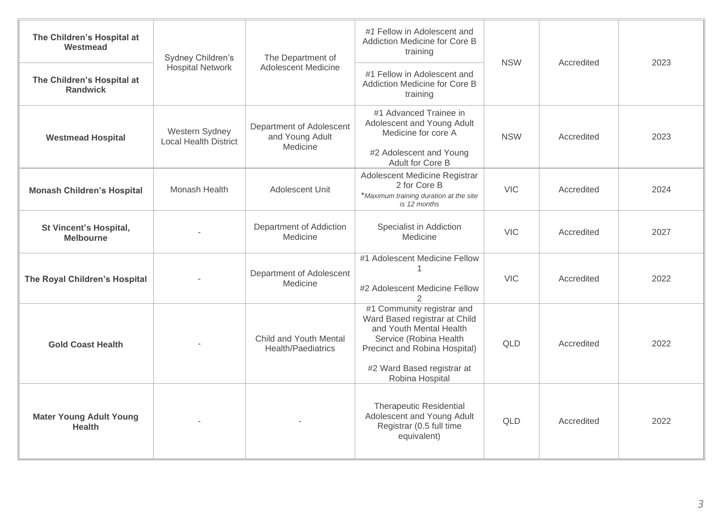| The Children's Hospital at<br>Westmead          | Sydney Children's<br><b>Hospital Network</b>   | The Department of<br><b>Adolescent Medicine</b>         | #1 Fellow in Adolescent and<br>Addiction Medicine for Core B<br>training                                                                                                                           | <b>NSW</b> | Accredited | 2023 |
|-------------------------------------------------|------------------------------------------------|---------------------------------------------------------|----------------------------------------------------------------------------------------------------------------------------------------------------------------------------------------------------|------------|------------|------|
| The Children's Hospital at<br><b>Randwick</b>   |                                                |                                                         | #1 Fellow in Adolescent and<br>Addiction Medicine for Core B<br>training                                                                                                                           |            |            |      |
| <b>Westmead Hospital</b>                        | Western Sydney<br><b>Local Health District</b> | Department of Adolescent<br>and Young Adult<br>Medicine | #1 Advanced Trainee in<br>Adolescent and Young Adult<br>Medicine for core A<br>#2 Adolescent and Young<br>Adult for Core B                                                                         | <b>NSW</b> | Accredited | 2023 |
| <b>Monash Children's Hospital</b>               | Monash Health                                  | Adolescent Unit                                         | Adolescent Medicine Registrar<br>2 for Core B<br>*Maximum training duration at the site<br>is 12 months                                                                                            | <b>VIC</b> | Accredited | 2024 |
| St Vincent's Hospital,<br><b>Melbourne</b>      |                                                | Department of Addiction<br>Medicine                     | Specialist in Addiction<br>Medicine                                                                                                                                                                | <b>VIC</b> | Accredited | 2027 |
| The Royal Children's Hospital                   |                                                | Department of Adolescent<br>Medicine                    | #1 Adolescent Medicine Fellow<br>#2 Adolescent Medicine Fellow                                                                                                                                     | <b>VIC</b> | Accredited | 2022 |
| <b>Gold Coast Health</b>                        |                                                | Child and Youth Mental<br>Health/Paediatrics            | #1 Community registrar and<br>Ward Based registrar at Child<br>and Youth Mental Health<br>Service (Robina Health<br>Precinct and Robina Hospital)<br>#2 Ward Based registrar at<br>Robina Hospital | QLD        | Accredited | 2022 |
| <b>Mater Young Adult Young</b><br><b>Health</b> |                                                |                                                         | <b>Therapeutic Residential</b><br>Adolescent and Young Adult<br>Registrar (0.5 full time<br>equivalent)                                                                                            | <b>QLD</b> | Accredited | 2022 |